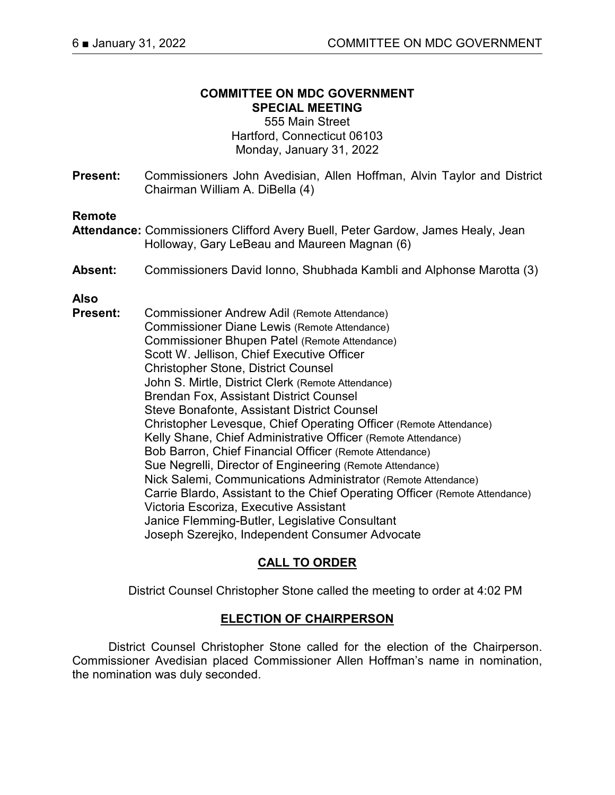# **COMMITTEE ON MDC GOVERNMENT SPECIAL MEETING**

555 Main Street Hartford, Connecticut 06103 Monday, January 31, 2022

**Present:** Commissioners John Avedisian, Allen Hoffman, Alvin Taylor and District Chairman William A. DiBella (4)

### **Remote**

- **Attendance:** Commissioners Clifford Avery Buell, Peter Gardow, James Healy, Jean Holloway, Gary LeBeau and Maureen Magnan (6)
- **Absent:** Commissioners David Ionno, Shubhada Kambli and Alphonse Marotta (3)

# **Also**

**Present:** Commissioner Andrew Adil (Remote Attendance) Commissioner Diane Lewis (Remote Attendance) Commissioner Bhupen Patel (Remote Attendance) Scott W. Jellison, Chief Executive Officer Christopher Stone, District Counsel John S. Mirtle, District Clerk (Remote Attendance) Brendan Fox, Assistant District Counsel Steve Bonafonte, Assistant District Counsel Christopher Levesque, Chief Operating Officer (Remote Attendance) Kelly Shane, Chief Administrative Officer (Remote Attendance) Bob Barron, Chief Financial Officer (Remote Attendance) Sue Negrelli, Director of Engineering (Remote Attendance) Nick Salemi, Communications Administrator (Remote Attendance) Carrie Blardo, Assistant to the Chief Operating Officer (Remote Attendance) Victoria Escoriza, Executive Assistant Janice Flemming-Butler, Legislative Consultant Joseph Szerejko, Independent Consumer Advocate

# **CALL TO ORDER**

District Counsel Christopher Stone called the meeting to order at 4:02 PM

### **ELECTION OF CHAIRPERSON**

District Counsel Christopher Stone called for the election of the Chairperson. Commissioner Avedisian placed Commissioner Allen Hoffman's name in nomination, the nomination was duly seconded.